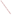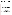# **Technical Factsheet on: CARBON TETRACHLORIDE**

[List of Contaminants](http://www.epa.gov/safewater/hfacts.html) 

 As part of the Drinking Water and Health pages, this fact sheet is part of a larger publication: **National Primary Drinking Water Regulations** 

# **Drinking Water Standards**

MCLG: zero MCL: 0.005 mg/L HAL: 1 day: 4 mg/L; 10-day: 0.2 mg/L

## **Health Effects Summary**

 people are exposed to it in drinking water at levels above the MCL for relatively short periods of time. Acute: EPA has found carbon tetrachloride to potentially cause liver kidney and lung damage when

Drinking water levels which are considered "safe" for short-term exposures: For a 10-kg (22 lb.) child consuming 1 liter of water per day: a one-day exposure of 4 mg/L; a ten-day exposure to 0.2 mg/L; upto a 7-year exposure to 0.07 mg/L.

 above the MCL. Chronic: Carbon tetrachloride has the potential to cause liver damage from a lifetime exposure at levels

 lifetime exposure at levels above the MCL. Cancer: There is some evidence that carbon tetrachloride has the potential to cause liver cancer from a

#### **Usage Patterns**

 fluorocarbons and this has been declining at a rate of 7.9%/yr. Production of carbon tetrachloride in 1988 was 761 million lbs; most of it is used for chemical synthesis of

Formerly used as dry cleaning agent and fire extinguisher, its production peaked in the USA in 1974. EPA regulation of fluorocarbon propellants will continue the trend in production cutback unless new applications are found for the chemical.

Its solvent uses include: solvent for rubber cement; cleaning agent for machinery and electrical equipment; for reducing fire hazard of grain fumigants; in soap perfumery and insecticides; in pharmaceuticals; for cable and semiconductor manufacture; as plasma etching gases for etching aluminum in integrated circuits; for oils, fats, lacquers, varnishes, rubber waxes, resins.

 for fluorocarbons In chemical manufacture its uses include: in polymer technology as reaction medium, catalyst; in synthesis of nylon-7 and other organic chlorination processes; in the formulation of petrol additives; in organic synthesis for chlorination of organic compounds; catalyst regeneration; a chemical intermediate

#### **Release Patterns**

 In Soil: Carbon tetrachloride occurs due to spills, run-off from agricultural sites, dumping, and through landfill leaching.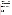finishing, paint and ink formulations, petroleum refining and nonferrous metal manufacturing industries In Surface Waters: Carbon tetrachloride occurs as a result of industrial and agricultural activities, some may reach surface water through rainfall. Waste water from iron and steel manufacturing, foundries, metal contain carbon tetrachloride.

 carbon tetrachloride in 1978 from all sources was estimated at 65 million lb (4.5 million lb from production In Air: The major source of carbon tetrachloride is industrial emission. The total nationwide emissions of facilities). The primary source of these emissions is solvent uses.

 chemical manufacturing industries which use it in chlorination processes. The largest releases occurred in Texas. From 1987 to 1993, according to the Toxic Release Inventory, carbon tetrachloride releases to water totalled nearly 53,000 lbs. Releases to land totalled over 23,000 lbs. These releases were primarily from

# **Environmental Fate**

 increasing. Some carbon tetrachloride released to the atmosphere is expected to partition into the ocean. In the troposphere, carbon tetrachloride is extremely stable (residence time of 30-50 years). The primary loss process is by escape to the stratosphere where it photolyzes. As a result of its emission into the atmosphere and slow degradation, the amount of carbon tetrachloride in the atmosphere has been

 water is 7000 years at 25 deg C In water systems, evaporation appears to be the most important removal process, although biodegradation may occur under aerobic and anaerobic conditions (limited data). Hydrolysis half-life in

 soil resulting in groundwater contamination due to its low adsorption to soil. A measured KOC of 71 was reported. Estimated retardation factor in breakthrough sampling in groundwater is 1.44 - 1.8. Carbon Releases or spills on soil should result in rapid evaporation due to high vapor pressure and leaching in tetrachloride is expected to be highly mobile in soil and only slightly adsorbed to sediment.

 Carbon tetrachloride has a low potential to bioconcentrate. Log of the bioconcentration factor in trout is 1.24, in bluegill sunfish - 1.48.

#### **Chemical/Physical Properties**

CAS Number: 56-23-5

Color/ Form/Odor: Colorless, clear, heavy liquid; sweet aromatic odor similar to chloroform<br>M.P.: -23 C B.P.: 76.54 C

Vapor Pressure: 91.3 mm Hg at 20 C

Density/Spec. Grav.: 1.59 at 20 C

Octanol/Water Partition (Kow): Log Kow = 2.62 to 2.83

Solubilities: 1.2 g/L of water at 25 C

Soil sorption coefficient: Koc = 71; moves readily through soil Soil sorption coefficient: Koc = 71; moves readily through soil<br>Odor/Taste Thresholds: Odor threshold in water is 0.52 mg/L